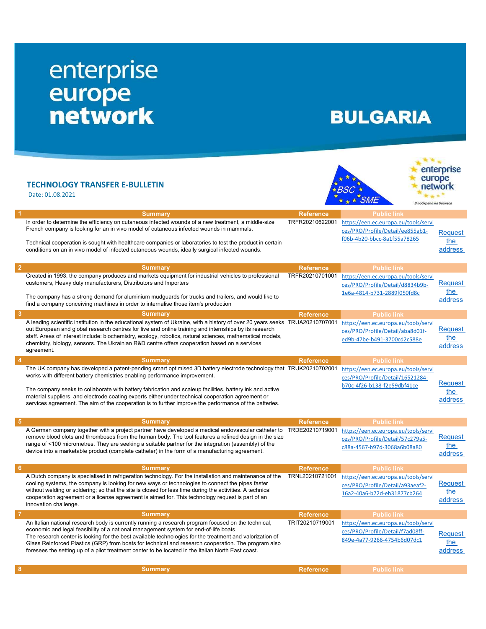## enterprise<br>
europe<br>
network

## **BULGARIA**

## TECHNOLOGY TRANSFER E-BULLETIN

Date: 01.08.2021





| -1              | <b>Summary</b>                                                                                                                                                                                                                                                                                                                                                                                                                                                                                                              | <b>Reference</b> | <b>Public link</b>                                                                                      |                                  |
|-----------------|-----------------------------------------------------------------------------------------------------------------------------------------------------------------------------------------------------------------------------------------------------------------------------------------------------------------------------------------------------------------------------------------------------------------------------------------------------------------------------------------------------------------------------|------------------|---------------------------------------------------------------------------------------------------------|----------------------------------|
|                 | In order to determine the efficiency on cutaneous infected wounds of a new treatment, a middle-size<br>French company is looking for an in vivo model of cutaneous infected wounds in mammals.<br>Technical cooperation is sought with healthcare companies or laboratories to test the product in certain<br>conditions on an in vivo model of infected cutaneous wounds, ideally surgical infected wounds.                                                                                                                | TRFR20210622001  | https://een.ec.europa.eu/tools/servi<br>ces/PRO/Profile/Detail/ee855ab1-<br>f06b-4b20-bbcc-8a1f55a78265 | Reauest<br>the<br>address        |
| $\overline{2}$  | <b>Summary</b>                                                                                                                                                                                                                                                                                                                                                                                                                                                                                                              | <b>Reference</b> | <b>Public link</b>                                                                                      |                                  |
|                 | Created in 1993, the company produces and markets equipment for industrial vehicles to professional<br>customers, Heavy duty manufacturers, Distributors and Importers<br>The company has a strong demand for aluminium mudguards for trucks and trailers, and would like to<br>find a company conceiving machines in order to internalise those item's production                                                                                                                                                          | TRFR20210701001  | https://een.ec.europa.eu/tools/servi<br>ces/PRO/Profile/Detail/d8834b9b-<br>1e6a-4814-b731-2889f050fd8c | <b>Request</b><br>the<br>address |
| 3               | <b>Summary</b>                                                                                                                                                                                                                                                                                                                                                                                                                                                                                                              | <b>Reference</b> | <b>Public link</b>                                                                                      |                                  |
|                 | A leading scientific institution in the educational system of Ukraine, with a history of over 20 years seeks TRUA20210707001<br>out European and global research centres for live and online training and internships by its research<br>staff. Areas of interest include: biochemistry, ecology, robotics, natural sciences, mathematical models,<br>chemistry, biology, sensors. The Ukrainian R&D centre offers cooperation based on a services<br>agreement.                                                            |                  | https://een.ec.europa.eu/tools/servi<br>ces/PRO/Profile/Detail/aba8d01f-<br>ed9b-47be-b491-3700cd2c588e | <b>Request</b><br>the<br>address |
| $\overline{4}$  | <b>Summary</b>                                                                                                                                                                                                                                                                                                                                                                                                                                                                                                              | <b>Reference</b> | <b>Public link</b>                                                                                      |                                  |
|                 | The UK company has developed a patent-pending smart optimised 3D battery electrode technology that TRUK20210702001<br>works with different battery chemistries enabling performance improvement.<br>The company seeks to collaborate with battery fabrication and scaleup facilities, battery ink and active<br>material suppliers, and electrode coating experts either under technical cooperation agreement or<br>services agreement. The aim of the cooperation is to further improve the performance of the batteries. |                  | https://een.ec.europa.eu/tools/servi<br>ces/PRO/Profile/Detail/16521284-<br>b70c-4f26-b138-f2e59dbf41ce | Reguest<br>the<br>address        |
| $5\phantom{1}$  | <b>Summary</b>                                                                                                                                                                                                                                                                                                                                                                                                                                                                                                              | <b>Reference</b> | <b>Public link</b>                                                                                      |                                  |
|                 | A German company together with a project partner have developed a medical endovascular catheter to TRDE20210719001<br>remove blood clots and thromboses from the human body. The tool features a refined design in the size<br>range of <100 micrometres. They are seeking a suitable partner for the integration (assembly) of the<br>device into a marketable product (complete catheter) in the form of a manufacturing agreement.                                                                                       |                  | https://een.ec.europa.eu/tools/servi<br>ces/PRO/Profile/Detail/57c279a5-<br>c88a-4567-b97d-3068a6b08a80 | <b>Request</b><br>the<br>address |
| $6\phantom{1}6$ | <b>Summary</b>                                                                                                                                                                                                                                                                                                                                                                                                                                                                                                              | <b>Reference</b> | <b>Public link</b>                                                                                      |                                  |
|                 | A Dutch company is specialised in refrigeration technology. For the installation and maintenance of the<br>cooling systems, the company is looking for new ways or technologies to connect the pipes faster<br>without welding or soldering; so that the site is closed for less time during the activities. A technical<br>cooperation agreement or a license agreement is aimed for. This technology request is part of an<br>innovation challenge.                                                                       | TRNL20210721001  | https://een.ec.europa.eu/tools/servi<br>ces/PRO/Profile/Detail/a93aeaf2-<br>16a2-40a6-b72d-eb31877cb264 | <b>Request</b><br>the<br>address |
| $\overline{7}$  | <b>Summary</b>                                                                                                                                                                                                                                                                                                                                                                                                                                                                                                              | <b>Reference</b> | <b>Public link</b>                                                                                      |                                  |
|                 | An Italian national research body is currently running a research program focused on the technical,<br>economic and legal feasibility of a national management system for end-of-life boats.<br>The research center is looking for the best available technologies for the treatment and valorization of<br>Glass Reinforced Plastics (GRP) from boats for technical and research cooperation. The program also<br>foresees the setting up of a pilot treatment center to be located in the Italian North East coast.       | TRIT20210719001  | https://een.ec.europa.eu/tools/servi<br>ces/PRO/Profile/Detail/f7ad08ff-<br>849e-4a77-9266-4754b6d07dc1 | Reguest<br>the<br>address        |
| 8               | <b>Summary</b>                                                                                                                                                                                                                                                                                                                                                                                                                                                                                                              | <b>Reference</b> | <b>Public link</b>                                                                                      |                                  |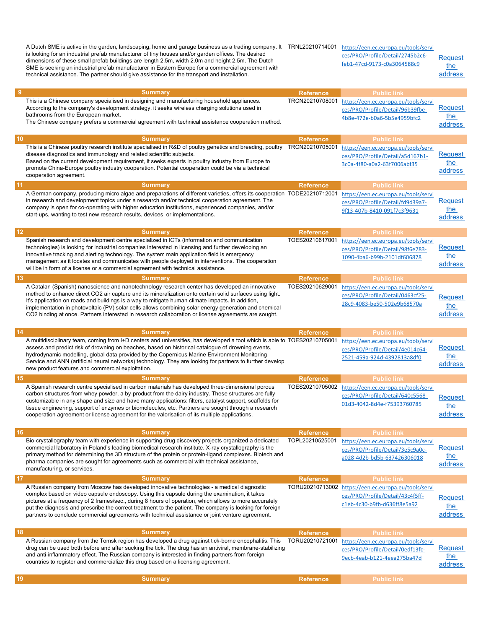A Dutch SME is active in the garden, landscaping, home and garage business as a trading company. It  $\,$  TRNL20210714001  $\,$   $_{\rm \underline{https://een.ec.europa.eu/tools/servi}}$ is looking for an industrial prefab manufacturer of tiny houses and/or garden offices. The desired dimensions of these small prefab buildings are length 2.5m, width 2.0m and height 2.5m. The Dutch SME is seeking an industrial prefab manufacturer in Eastern Europe for a commercial agreement with technical assistance. The partner should give assistance for the transport and installation. ces/PRO/Profile/Detail/2745b2c6 feb1-47cd-9173-c0a3064588c9 Request the address ential and the summary and the Summary Reference Public link of the Summary Reference Public link This is a Chinese company specialised in designing and manufacturing household appliances. According to the company's development strategy, it seeks wireless charging solutions used in bathrooms from the European market. The Chinese company prefers a commercial agreement with technical assistance cooperation method. TRCN20210708001 https://een.ec.europa.eu/tools/servi ces/PRO/Profile/Detail/96b39fbe-4b8e-472e-b0a6-5b5e4959bfc2 **Request** the address 10 Summary Reference Public link This is a Chinese poultry research institute specialised in R&D of poultry genetics and breeding, poultry TRCN20210705001 disease diagnostics and immunology and related scientific subjects. Based on the current development requirement, it seeks experts in poultry industry from Europe to promote China-Europe poultry industry cooperation. Potential cooperation could be via a technical cooperation agreement. https://een.ec.europa.eu/tools/servi ces/PRO/Profile/Detail/a5d167b1- 3c0a-4f80-a0a2-63f7006abf35 Request the address 11 Summary Reference Public link A German company, producing micro algae and preparations of different varieties, offers its cooperation TODE20210712001 in research and development topics under a research and/or technical cooperation agreement. The company is open for co-operating with higher education institutions, experienced companies, and/or start-ups, wanting to test new research results, devices, or implementations. https://een.ec.europa.eu/tools/servi ces/PRO/Profile/Detail/fd9d39a7- 9f13-407b-8410-091f7c3f9631 **Request** the address 12 Summary Reference Public link Spanish research and development centre specialized in ICTs (information and communication technologies) is looking for industrial companies interested in licensing and further developing an innovative tracking and alerting technology. The system main application field is emergency management as it locates and communicates with people deployed in interventions. The cooperation will be in form of a license or a commercial agreement with technical assistance. TOES20210617001 https://een.ec.europa.eu/tools/servi ces/PRO/Profile/Detail/98f6e783- 1090-4ba6-b99b-2101df606878 **Request** the address 13 Summary Reference Public link A Catalan (Spanish) nanoscience and nanotechnology research center has developed an innovative method to enhance direct CO2 air capture and its mineralization onto certain solid surfaces using light. It's application on roads and buildings is a way to mitigate human climate impacts. In addition, implementation in photovoltaic (PV) solar cells allows combining solar energy generation and chemical CO2 binding at once. Partners interested in research collaboration or license agreements are sought. TOES20210629001 https://een.ec.europa.eu/tools/servi ces/PRO/Profile/Detail/0463cf25- 28c9-4083-be50-502e9b68570a **Request** the address 14 Summary Reference Public link A multidisciplinary team, coming from I+D centers and universities, has developed a tool which is able to TOES20210705001 assess and predict risk of drowning on beaches, based on historical catalogue of drowning events, hydrodynamic modelling, global data provided by the Copernicus Marine Environment Monitoring Service and ANN (artificial neural networks) technology. They are looking for partners to further develop new product features and commercial exploitation. https://een.ec.europa.eu/tools/servi ces/PRO/Profile/Detail/4e014c64- 2521-459a-924d-4392813a8df0 Request the address **15 Summary Reference** Public link A Spanish research centre specialised in carbon materials has developed three-dimensional porous carbon structures from whey powder, a by-product from the dairy industry. These structures are fully customizable in any shape and size and have many applications: filters, catalyst support, scaffolds for tissue engineering, support of enzymes or biomolecules, etc. Partners are sought through a research cooperation agreement or license agreement for the valorisation of its multiple applications. TOES20210705002 https://een.ec.europa.eu/tools/servi ces/PRO/Profile/Detail/640c5568- 01d3-4042-8d4e-f75393760785 **Request** the address 16 Summary Reference Public link Bio-crystallography team with experience in supporting drug discovery projects organized a dedicated commercial laboratory in Poland's leading biomedical research institute. X-ray crystallography is the primary method for determining the 3D structure of the protein or protein-ligand complexes. Biotech and pharma companies are sought for agreements such as commercial with technical assistance, manufacturing, or services. TOPL20210525001 https://een.ec.europa.eu/tools/servi ces/PRO/Profile/Detail/3e5c9a0ca028-4d2b-bd5b-637426306018 Request the address 17 Summary Reference Public link A Russian company from Moscow has developed innovative technologies - a medical diagnostic complex based on video capsule endoscopy. Using this capsule during the examination, it takes pictures at a frequency of 2 frames/sec., during 8 hours of operation, which allows to more accurately put the diagnosis and prescribe the correct treatment to the patient. The company is looking for foreign partners to conclude commercial agreements with technical assistance or joint venture agreement. TORU20210713002 https://een.ec.europa.eu/tools/servi ces/PRO/Profile/Detail/43c4f5ffc1eb-4c30-b9fb-d636ff8e5a92 **Request** the address 18 Summary Reference Public link A Russian company from the Tomsk region has developed a drug against tick-borne encephalitis. This drug can be used both before and after sucking the tick. The drug has an antiviral, membrane-stabilizing and anti-inflammatory effect. The Russian company is interested in finding partners from foreign countries to register and commercialize this drug based on a licensing agreement. TORU20210721001 https://een.ec.europa.eu/tools/servi ces/PRO/Profile/Detail/0edf13fc-9ecb-4eab-b121-4eea275ba47d **Request** the address 19 Summary Reference Public link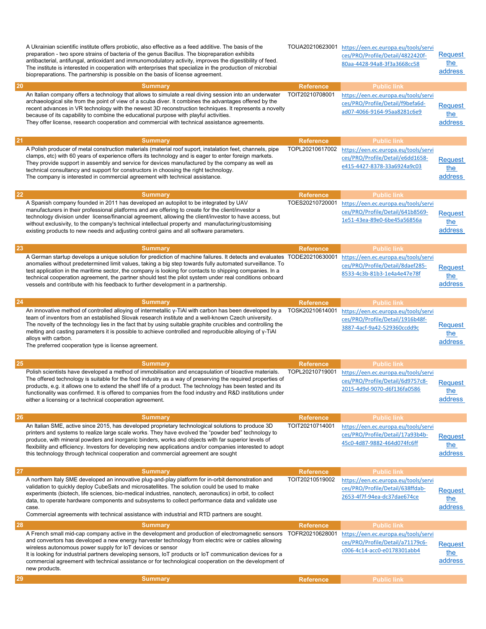|    | A Ukrainian scientific institute offers probiotic, also effective as a feed additive. The basis of the<br>preparation - two spore strains of bacteria of the genus Bacillus. The biopreparation exhibits<br>antibacterial, antifungal, antioxidant and immunomodulatory activity, improves the digestibility of feed.<br>The institute is interested in cooperation with enterprises that specialize in the production of microbial<br>biopreparations. The partnership is possible on the basis of license agreement.                           | TOUA20210623001  | https://een.ec.europa.eu/tools/servi<br>ces/PRO/Profile/Detail/4822420f-<br>80aa-4428-94a8-3f3a3668cc58 | Request<br>the<br>address        |
|----|--------------------------------------------------------------------------------------------------------------------------------------------------------------------------------------------------------------------------------------------------------------------------------------------------------------------------------------------------------------------------------------------------------------------------------------------------------------------------------------------------------------------------------------------------|------------------|---------------------------------------------------------------------------------------------------------|----------------------------------|
| 20 | <b>Summary</b>                                                                                                                                                                                                                                                                                                                                                                                                                                                                                                                                   | <b>Reference</b> | <b>Public link</b>                                                                                      |                                  |
|    | An Italian company offers a technology that allows to simulate a real diving session into an underwater<br>archaeological site from the point of view of a scuba diver. It combines the advantages offered by the<br>recent advances in VR technology with the newest 3D reconstruction techniques. It represents a novelty<br>because of its capability to combine the educational purpose with playful activities.<br>They offer license, research cooperation and commercial with technical assistance agreements.                            | TOIT20210708001  | https://een.ec.europa.eu/tools/servi<br>ces/PRO/Profile/Detail/f9befa6d-<br>ad07-4066-9164-95aa8281c6e9 | Request<br>the<br>address        |
| 21 | <b>Summary</b>                                                                                                                                                                                                                                                                                                                                                                                                                                                                                                                                   | <b>Reference</b> | <b>Public link</b>                                                                                      |                                  |
|    | A Polish producer of metal construction materials (material roof suport, instalation feet, channels, pipe<br>clamps, etc) with 60 years of experience offers its technology and is eager to enter foreign markets.<br>They provide support in assembly and service for devices manufactured by the company as well as<br>technical consultancy and support for constructors in choosing the right technology.<br>The company is interested in commercial agreement with technical assistance.                                                    | TOPL20210617002  | https://een.ec.europa.eu/tools/servi<br>ces/PRO/Profile/Detail/e6dd1658-<br>e415-4427-8378-33a6924a9c03 | Request<br>the<br>address        |
| 22 | <b>Summary</b>                                                                                                                                                                                                                                                                                                                                                                                                                                                                                                                                   | <b>Reference</b> | <b>Public link</b>                                                                                      |                                  |
|    | A Spanish company founded in 2011 has developed an autopilot to be integrated by UAV<br>manufacturers in their professional platforms and are offering to create for the client/investor a<br>technology division under license/financial agreement, allowing the client/investor to have access, but<br>without exclusivity, to the company's technical intellectual property and manufacturing/customising<br>existing products to new needs and adjusting control gains and all software parameters.                                          | TOES20210720001  | https://een.ec.europa.eu/tools/servi<br>ces/PRO/Profile/Detail/641b8569-<br>1e51-43ea-89e0-6be45a56856a | <b>Request</b><br>the<br>address |
| 23 | <b>Summary</b>                                                                                                                                                                                                                                                                                                                                                                                                                                                                                                                                   | <b>Reference</b> | <b>Public link</b>                                                                                      |                                  |
|    | A German startup develops a unique solution for prediction of machine failures. It detects and evaluates TODE20210630001<br>anomalies without predetermined limit values, taking a big step towards fully automated surveillance. To<br>test application in the maritime sector, the company is looking for contacts to shipping companies. In a<br>technical cooperation agreement, the partner should test the pilot system under real conditions onboard<br>vessels and contribute with his feedback to further development in a partnership. |                  | https://een.ec.europa.eu/tools/servi<br>ces/PRO/Profile/Detail/8daef285-<br>8533-4c3b-81b3-1e4a4e47e78f | Reauest<br>the<br>address        |
| 24 | <b>Summary</b>                                                                                                                                                                                                                                                                                                                                                                                                                                                                                                                                   | <b>Reference</b> | <b>Public link</b>                                                                                      |                                  |
|    | An innovative method of controlled alloying of intermetallic y-TiAl with carbon has been developed by a<br>team of inventors from an established Slovak research institute and a well-known Czech university.<br>The novelty of the technology lies in the fact that by using suitable graphite crucibles and controlling the<br>melting and casting parameters it is possible to achieve controlled and reproducible alloying of y-TiAI<br>alloys with carbon.<br>The preferred cooperation type is license agreement.                          | TOSK20210614001  | https://een.ec.europa.eu/tools/servi<br>ces/PRO/Profile/Detail/1916b48f-<br>3887-4acf-9a42-529360ccdd9c | Reguest<br>the<br>address        |
| 25 | <b>Summary</b>                                                                                                                                                                                                                                                                                                                                                                                                                                                                                                                                   | <b>Reference</b> | <b>Public link</b>                                                                                      |                                  |
|    | Polish scientists have developed a method of immobilisation and encapsulation of bioactive materials.<br>The offered technology is suitable for the food industry as a way of preserving the required properties of<br>products, e.g. it allows one to extend the shelf life of a product. The technology has been tested and its<br>functionality was confirmed. It is offered to companies from the food industry and R&D institutions under<br>either a licensing or a technical cooperation agreement.                                       | TOPL20210719001  | https://een.ec.europa.eu/tools/servi<br>ces/PRO/Profile/Detail/6d9757c8-<br>2015-4d9d-9070-d6f136fa0586 | Request<br>the<br>address        |
| 26 | <b>Summary</b>                                                                                                                                                                                                                                                                                                                                                                                                                                                                                                                                   | <b>Reference</b> | <b>Public link</b>                                                                                      |                                  |
|    | An Italian SME, active since 2015, has developed proprietary technological solutions to produce 3D<br>printers and systems to realize large scale works. They have evolved the "powder bed" technology to<br>produce, with mineral powders and inorganic binders, works and objects with far superior levels of<br>flexibility and efficiency. Investors for developing new applications and/or companies interested to adopt<br>this technology through technical cooperation and commercial agreement are sought                               | TOIT20210714001  | https://een.ec.europa.eu/tools/servi<br>ces/PRO/Profile/Detail/17a93b4b-<br>45c0-4d87-9882-464d074fc6ff | Request<br>the<br>address        |
| 27 | <b>Summary</b>                                                                                                                                                                                                                                                                                                                                                                                                                                                                                                                                   | <b>Reference</b> | <b>Public link</b>                                                                                      |                                  |
|    | A northern Italy SME developed an innovative plug-and-play platform for in-orbit demonstration and<br>validation to quickly deploy CubeSats and microsatellites. The solution could be used to make<br>experiments (biotech, life sciences, bio-medical industries, nanotech, aeronautics) in orbit, to collect<br>data, to operate hardware components and subsystems to collect performance data and validate use<br>case.<br>Commercial agreements with technical assistance with industrial and RTD partners are sought.                     | TOIT20210519002  | https://een.ec.europa.eu/tools/servi<br>ces/PRO/Profile/Detail/638ffdab-<br>2653-4f7f-94ea-dc37dae674ce | <b>Request</b><br>the<br>address |
| 28 | <b>Summary</b>                                                                                                                                                                                                                                                                                                                                                                                                                                                                                                                                   | <b>Reference</b> | <b>Public link</b>                                                                                      |                                  |
|    | A French small mid-cap company active in the development and production of electromagnetic sensors<br>and convertors has developed a new energy harvester technology from electric wire or cables allowing<br>wireless autonomous power supply for IoT devices or sensor<br>It is looking for industrial partners developing sensors, IoT products or IoT communication devices for a<br>commercial agreement with technical assistance or for technological cooperation on the development of<br>new products.                                  | TOFR20210628001  | https://een.ec.europa.eu/tools/servi<br>ces/PRO/Profile/Detail/a71179c6-<br>c006-4c14-acc0-e0178301abb4 | Request<br>the<br>address        |
| 29 | <b>Summary</b>                                                                                                                                                                                                                                                                                                                                                                                                                                                                                                                                   | <b>Reference</b> | <b>Public link</b>                                                                                      |                                  |
|    |                                                                                                                                                                                                                                                                                                                                                                                                                                                                                                                                                  |                  |                                                                                                         |                                  |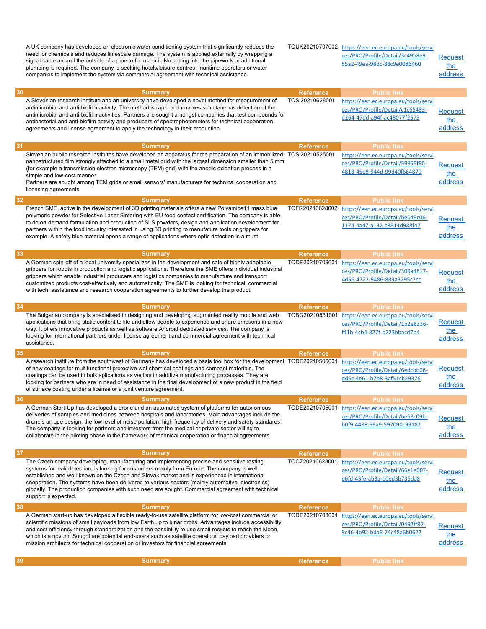A UK company has developed an electronic water conditioning system that significantly reduces the need for chemicals and reduces limescale damage. The system is applied externally by wrapping a signal cable around the outside of a pipe to form a coil. No cutting into the pipework or additional plumbing is required. The company is seeking hotels/leisure centres, maritime operators or water companies to implement the system via commercial agreement with technical assistance. TOUK20210707002 https://een.ec.europa.eu/tools/servi ces/PRO/Profile/Detail/3c49b8e9- 55a2-49ea-98dc-88c9e0086460 Request the address 30 Summary Reference Public link A Slovenian research institute and an university have developed a novel method for measurement of antimicrobial and anti-biofilm activity. The method is rapid and enables simultaneous detection of the antimicrobial and anti-biofilm activities. Partners are sought amongst companies that test compounds for antibacterial and anti-biofilm activity and producers of spectrophotometers for technical cooperation agreements and license agreement to apply the technology in their production. TOSI20210628001 https://een.ec.europa.eu/tools/servi ces/PRO/Profile/Detail/c1c65483 d264-47dd-a94f-ac48077f2575 Request the address **31** Summary Reference Public link Slovenian public research institutes have developed an apparatus for the preparation of an immobilized nanostructured film strongly attached to a small metal grid with the largest dimension smaller than 5 mm (for example a transmission electron microscopy (TEM) grid) with the anodic oxidation process in a simple and low-cost manner. Partners are sought among TEM grids or small sensors' manufacturers for technical cooperation and licensing agreements. https://een.ec.europa.eu/tools/servi ces/PRO/Profile/Detail/59955f80- 4818-45e8-944d-99d40f664879 Request the address **32** Summary Reference Public link French SME, active in the development of 3D printing materials offers a new Polyamide11 mass blue polymeric powder for Selective Laser Sintering with EU food contact certification. The company is able to do on-demand formulation and production of SLS powders, design and application development for partners within the food industry interested in using 3D printing to manufature tools or grippers for example. A safety blue material opens a range of applications where optic detection is a must. TOFR20210628002 https://een.ec.europa.eu/tools/servi ces/PRO/Profile/Detail/be049c06- 1174-4a47-a132-c8814d988f47 Request the address **33** Summary Reference Public link A German spin-off of a local university specializes in the development and sale of highly adaptable grippers for robots in production and logistic applications. Therefore the SME offers individual industrial grippers which enable industrial producers and logistics companies to manufacture and transport customized products cost-effectively and automatically. The SME is looking for technical, commercial with tech. assistance and research cooperation agreements to further develop the product. TODE20210709001 https://een.ec.europa.eu/tools/servi ces/PRO/Profile/Detail/309a4817- 4d56-4722-9486-883a3295c7cc Request the address **34** Summary Reference Public link The Bulgarian company is specialised in designing and developing augmented reality mobile and web applications that bring static content to life and allow people to experience and share emotions in a new way. It offers innovative products as well as software Android dedicated services. The company is looking for international partners under license agreement and commercial agreement with technical assistance. TOBG20210531001 https://een.ec.europa.eu/tools/servi ces/PRO/Profile/Detail/1b2e8336 f41b-4cb4-827f-b223bbacd7b4 Request the address 35 Summary Reference Public link A research institute from the southwest of Germany has developed a basis tool box for the development  $\,$  TODE20210506001  $\,$   $_{\rm https://een.ec.europa.eu/tools/servi}$ of new coatings for multifunctional protective wet chemical coatings and compact materials. The coatings can be used in bulk aplications as well as in additive manufacturing processes. They are looking for partners who are in need of assistance in the final development of a new product in the field of surface coating under a license or a joint venture agreement. ces/PRO/Profile/Detail/6edcbb06 dd5c-4e61-b7b8-3af51cb29376 Request the address **36 Summary Reference Public link** Public link A German Start-Up has developed a drone and an automated system of platforms for autonomous deliveries of samples and medicines between hospitals and laboratories. Main advantages include the drone's unique design, the low level of noise pollution, high frequency of delivery and safety standards. The company is looking for partners and investors from the medical or private sector willing to collaborate in the piloting phase in the framework of technical cooperation or financial agreements. TODE20210705001 https://een.ec.europa.eu/tools/servi ces/PRO/Profile/Detail/be53c09bb0f9-4488-99a9-597090c93182 **Request** the address **37** Summary Reference Public link The Czech company developing, manufacturing and implementing precise and sensitive testing systems for leak detection, is looking for customers mainly from Europe. The company is wellestablished and well-known on the Czech and Slovak market and is experienced in international cooperation. The systems have been delivered to various sectors (mainly automotive, electronics) globally. The production companies with such need are sought. Commercial agreement with technical support is expected. TOCZ20210623001 https://een.ec.europa.eu/tools/servi ces/PRO/Profile/Detail/66e1e007 e6fd-43fe-ab3a-b0ed3b735da8 Request the address **38 Summary Reference** Public link A German start-up has developed a flexible ready-to-use satellite platform for low-cost commercial or scientific missions of small payloads from low Earth up to lunar orbits. Advantages include accessibility and cost efficiency through standardization and the possibility to use small rockets to reach the Moon, which is a novum. Sought are potential end-users such as satellite operators, payload providers or mission architects for technical cooperation or investors for financial agreements. TODE20210708001 https://een.ec.europa.eu/tools/servi ces/PRO/Profile/Detail/0492ff82- 9c46-4b92-bda8-74c48a6b0622 Request the address 39 Summary Reference Public link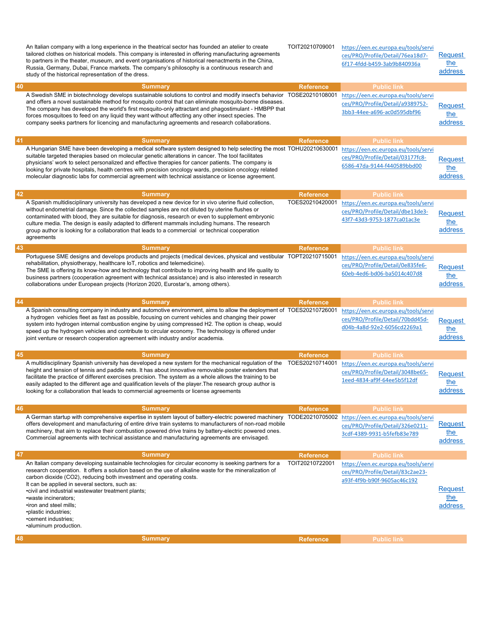| 40 | An Italian company with a long experience in the theatrical sector has founded an atelier to create<br>tailored clothes on historical models. This company is interested in offering manufacturing agreements<br>to partners in the theater, museum, and event organisations of historical reenactments in the China,<br>Russia, Germany, Dubai, France markets. The company's philosophy is a continuous research and<br>study of the historical representation of the dress.<br><b>Summary</b><br>A Swedish SME in biotechnology develops sustainable solutions to control and modify insect's behavior TOSE20210108001<br>and offers a novel sustainable method for mosquito control that can eliminate mosquito-borne diseases.<br>The company has developed the world's first mosquito-only attractant and phagostimulant - HMBPP that<br>forces mosquitoes to feed on any liquid they want without affecting any other insect species. The<br>company seeks partners for licencing and manufacturing agreements and research collaborations. | TOIT20210709001<br><b>Reference</b> | https://een.ec.europa.eu/tools/servi<br>ces/PRO/Profile/Detail/76ea18d7-<br>6f17-4fdd-b459-3ab9b840936a<br><b>Public link</b><br>https://een.ec.europa.eu/tools/servi<br>ces/PRO/Profile/Detail/a9389752-<br>3bb3-44ee-a696-ac0d595dbf96 | Request<br>the<br>address<br>Request<br>the<br>address |
|----|----------------------------------------------------------------------------------------------------------------------------------------------------------------------------------------------------------------------------------------------------------------------------------------------------------------------------------------------------------------------------------------------------------------------------------------------------------------------------------------------------------------------------------------------------------------------------------------------------------------------------------------------------------------------------------------------------------------------------------------------------------------------------------------------------------------------------------------------------------------------------------------------------------------------------------------------------------------------------------------------------------------------------------------------------|-------------------------------------|------------------------------------------------------------------------------------------------------------------------------------------------------------------------------------------------------------------------------------------|--------------------------------------------------------|
| 41 |                                                                                                                                                                                                                                                                                                                                                                                                                                                                                                                                                                                                                                                                                                                                                                                                                                                                                                                                                                                                                                                    | <b>Reference</b>                    |                                                                                                                                                                                                                                          |                                                        |
|    | <b>Summary</b><br>A Hungarian SME have been developing a medical software system designed to help selecting the most TOHU20210630001<br>suitable targeted therapies based on molecular genetic alterations in cancer. The tool facilitates<br>physicians' work to select personalized and effective therapies for cancer patients. The company is<br>looking for private hospitals, health centres with precision oncology wards, precision oncology related<br>molecular diagnostic labs for commercial agreement with technical assistance or license agreement.                                                                                                                                                                                                                                                                                                                                                                                                                                                                                 |                                     | <b>Public link</b><br>https://een.ec.europa.eu/tools/servi<br>ces/PRO/Profile/Detail/03177fc8-<br>6586-47da-9144-f440589bbd00                                                                                                            | Request<br>the<br>address                              |
| 42 | <b>Summary</b>                                                                                                                                                                                                                                                                                                                                                                                                                                                                                                                                                                                                                                                                                                                                                                                                                                                                                                                                                                                                                                     | <b>Reference</b>                    | <b>Public link</b>                                                                                                                                                                                                                       |                                                        |
|    | A Spanish multidisciplinary university has developed a new device for in vivo uterine fluid collection,<br>without endometrial damage. Since the collected samples are not diluted by uterine flushes or<br>contaminated with blood, they are suitable for diagnosis, research or even to supplement embryonic<br>culture media. The design is easily adapted to different mammals including humans. The research<br>group author is looking for a collaboration that leads to a commercial or technical cooperation<br>agreements                                                                                                                                                                                                                                                                                                                                                                                                                                                                                                                 | TOES20210420001                     | https://een.ec.europa.eu/tools/servi<br>ces/PRO/Profile/Detail/dbe13de3-<br>43f7-43d3-9753-1877ca01ac3e                                                                                                                                  | <b>Request</b><br>the<br>address                       |
| 43 | <b>Summary</b><br>Portuguese SME designs and develops products and projects (medical devices, physical and vestibular TOPT20210715001<br>rehabilitation, physiotherapy, healthcare IoT, robotics and telemedicine).<br>The SME is offering its know-how and technology that contribute to improving health and life quality to<br>business partners (cooperation agreement with technical assistance) and is also interested in research<br>collaborations under European projects (Horizon 2020, Eurostar's, among others).                                                                                                                                                                                                                                                                                                                                                                                                                                                                                                                       | <b>Reference</b>                    | <b>Public link</b><br>https://een.ec.europa.eu/tools/servi<br>ces/PRO/Profile/Detail/0e835fe6-<br>60eb-4ed6-bd06-ba5014c407d8                                                                                                            | Request<br>the<br>address                              |
| 44 | <b>Summary</b>                                                                                                                                                                                                                                                                                                                                                                                                                                                                                                                                                                                                                                                                                                                                                                                                                                                                                                                                                                                                                                     | <b>Reference</b>                    | <b>Public link</b>                                                                                                                                                                                                                       |                                                        |
|    | A Spanish consulting company in industry and automotive environment, aims to allow the deployment of TOES20210726001<br>a hydrogen vehicles fleet as fast as possible, focusing on current vehicles and changing their power<br>system into hydrogen internal combustion engine by using compressed H2. The option is cheap, would<br>speed up the hydrogen vehicles and contribute to circular economy. The technology is offered under<br>joint venture or research cooperation agreement with industry and/or academia.                                                                                                                                                                                                                                                                                                                                                                                                                                                                                                                         |                                     | https://een.ec.europa.eu/tools/servi<br>ces/PRO/Profile/Detail/70bdd45d-<br>d04b-4a8d-92e2-6056cd2269a1                                                                                                                                  | Request<br>the<br>address                              |
| 45 | <b>Summary</b>                                                                                                                                                                                                                                                                                                                                                                                                                                                                                                                                                                                                                                                                                                                                                                                                                                                                                                                                                                                                                                     | <b>Reference</b>                    | <b>Public link</b>                                                                                                                                                                                                                       |                                                        |
|    | A multidisciplinary Spanish university has developed a new system for the mechanical regulation of the<br>height and tension of tennis and paddle nets. It has about innovative removable poster extenders that<br>facilitate the practice of different exercises precision. The system as a whole allows the training to be<br>easily adapted to the different age and qualification levels of the player. The research group author is                                                                                                                                                                                                                                                                                                                                                                                                                                                                                                                                                                                                           | TOES20210714001                     | https://een.ec.europa.eu/tools/servi<br>ces/PRO/Profile/Detail/3048be65-<br>1eed-4834-af9f-64ee5b5f12df                                                                                                                                  | Request                                                |
|    | looking for a collaboration that leads to commercial agreements or license agreements                                                                                                                                                                                                                                                                                                                                                                                                                                                                                                                                                                                                                                                                                                                                                                                                                                                                                                                                                              |                                     |                                                                                                                                                                                                                                          | the<br>address                                         |
| 46 | <b>Summary</b>                                                                                                                                                                                                                                                                                                                                                                                                                                                                                                                                                                                                                                                                                                                                                                                                                                                                                                                                                                                                                                     |                                     | <b>Public link</b>                                                                                                                                                                                                                       |                                                        |
|    | A German startup with comprehensive expertise in system layout of battery-electric powered machinery TODE20210705002<br>offers development and manufacturing of entire drive train systems to manufacturers of non-road mobile<br>machinery, that aim to replace their combustion powered drive trains by battery-electric powered ones.<br>Commercial agreements with technical assistance and manufacturing agreements are envisaged.                                                                                                                                                                                                                                                                                                                                                                                                                                                                                                                                                                                                            | <b>Reference</b>                    | https://een.ec.europa.eu/tools/servi<br>ces/PRO/Profile/Detail/326e0211-<br>3cdf-4389-9931-b5fefb83e789                                                                                                                                  | Request<br>the<br>address                              |
| 47 | <b>Summary</b>                                                                                                                                                                                                                                                                                                                                                                                                                                                                                                                                                                                                                                                                                                                                                                                                                                                                                                                                                                                                                                     | <b>Reference</b>                    | <b>Public link</b>                                                                                                                                                                                                                       |                                                        |
|    | An Italian company developing sustainable technologies for circular economy is seeking partners for a<br>research cooperation. It offers a solution based on the use of alkaline waste for the mineralization of<br>carbon dioxide (CO2), reducing both investment and operating costs.<br>It can be applied in several sectors, such as:<br>• civil and industrial wastewater treatment plants;<br>•waste incinerators;<br>•iron and steel mills;<br>•plastic industries;<br>•cement industries;<br>•aluminum production.                                                                                                                                                                                                                                                                                                                                                                                                                                                                                                                         | TOIT20210722001                     | https://een.ec.europa.eu/tools/servi<br>ces/PRO/Profile/Detail/83c2ae23-<br>a93f-4f9b-b90f-9605ac46c192                                                                                                                                  | <b>Request</b><br>the<br>address                       |
| 48 | <b>Summary</b>                                                                                                                                                                                                                                                                                                                                                                                                                                                                                                                                                                                                                                                                                                                                                                                                                                                                                                                                                                                                                                     | <b>Reference</b>                    | <b>Public link</b>                                                                                                                                                                                                                       |                                                        |